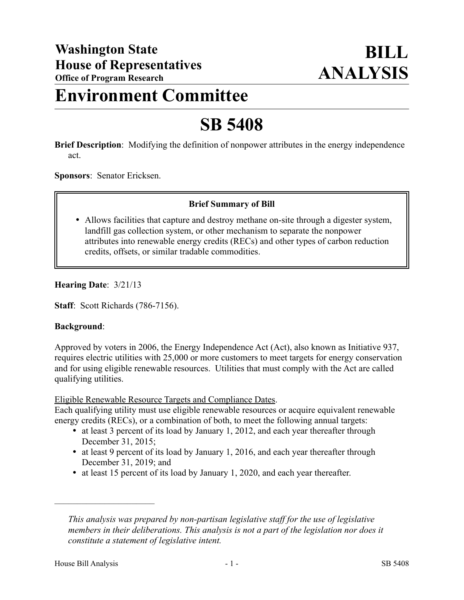## **Environment Committee**

# **SB 5408**

**Brief Description**: Modifying the definition of nonpower attributes in the energy independence act.

**Sponsors**: Senator Ericksen.

#### **Brief Summary of Bill**

 Allows facilities that capture and destroy methane on-site through a digester system, landfill gas collection system, or other mechanism to separate the nonpower attributes into renewable energy credits (RECs) and other types of carbon reduction credits, offsets, or similar tradable commodities.

#### **Hearing Date**: 3/21/13

**Staff**: Scott Richards (786-7156).

#### **Background**:

Approved by voters in 2006, the Energy Independence Act (Act), also known as Initiative 937, requires electric utilities with 25,000 or more customers to meet targets for energy conservation and for using eligible renewable resources. Utilities that must comply with the Act are called qualifying utilities.

#### Eligible Renewable Resource Targets and Compliance Dates.

Each qualifying utility must use eligible renewable resources or acquire equivalent renewable energy credits (RECs), or a combination of both, to meet the following annual targets:

- at least 3 percent of its load by January 1, 2012, and each year thereafter through December 31, 2015;
- at least 9 percent of its load by January 1, 2016, and each year thereafter through December 31, 2019; and
- at least 15 percent of its load by January 1, 2020, and each year thereafter.

––––––––––––––––––––––

*This analysis was prepared by non-partisan legislative staff for the use of legislative members in their deliberations. This analysis is not a part of the legislation nor does it constitute a statement of legislative intent.*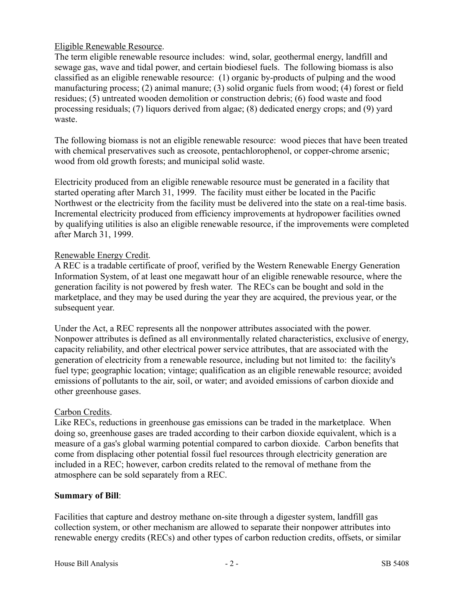### Eligible Renewable Resource.

The term eligible renewable resource includes: wind, solar, geothermal energy, landfill and sewage gas, wave and tidal power, and certain biodiesel fuels. The following biomass is also classified as an eligible renewable resource: (1) organic by-products of pulping and the wood manufacturing process; (2) animal manure; (3) solid organic fuels from wood; (4) forest or field residues; (5) untreated wooden demolition or construction debris; (6) food waste and food processing residuals; (7) liquors derived from algae; (8) dedicated energy crops; and (9) yard waste.

The following biomass is not an eligible renewable resource: wood pieces that have been treated with chemical preservatives such as creosote, pentachlorophenol, or copper-chrome arsenic; wood from old growth forests; and municipal solid waste.

Electricity produced from an eligible renewable resource must be generated in a facility that started operating after March 31, 1999. The facility must either be located in the Pacific Northwest or the electricity from the facility must be delivered into the state on a real-time basis. Incremental electricity produced from efficiency improvements at hydropower facilities owned by qualifying utilities is also an eligible renewable resource, if the improvements were completed after March 31, 1999.

## Renewable Energy Credit.

A REC is a tradable certificate of proof, verified by the Western Renewable Energy Generation Information System, of at least one megawatt hour of an eligible renewable resource, where the generation facility is not powered by fresh water. The RECs can be bought and sold in the marketplace, and they may be used during the year they are acquired, the previous year, or the subsequent year.

Under the Act, a REC represents all the nonpower attributes associated with the power. Nonpower attributes is defined as all environmentally related characteristics, exclusive of energy, capacity reliability, and other electrical power service attributes, that are associated with the generation of electricity from a renewable resource, including but not limited to: the facility's fuel type; geographic location; vintage; qualification as an eligible renewable resource; avoided emissions of pollutants to the air, soil, or water; and avoided emissions of carbon dioxide and other greenhouse gases.

## Carbon Credits.

Like RECs, reductions in greenhouse gas emissions can be traded in the marketplace. When doing so, greenhouse gases are traded according to their carbon dioxide equivalent, which is a measure of a gas's global warming potential compared to carbon dioxide. Carbon benefits that come from displacing other potential fossil fuel resources through electricity generation are included in a REC; however, carbon credits related to the removal of methane from the atmosphere can be sold separately from a REC.

## **Summary of Bill**:

Facilities that capture and destroy methane on-site through a digester system, landfill gas collection system, or other mechanism are allowed to separate their nonpower attributes into renewable energy credits (RECs) and other types of carbon reduction credits, offsets, or similar